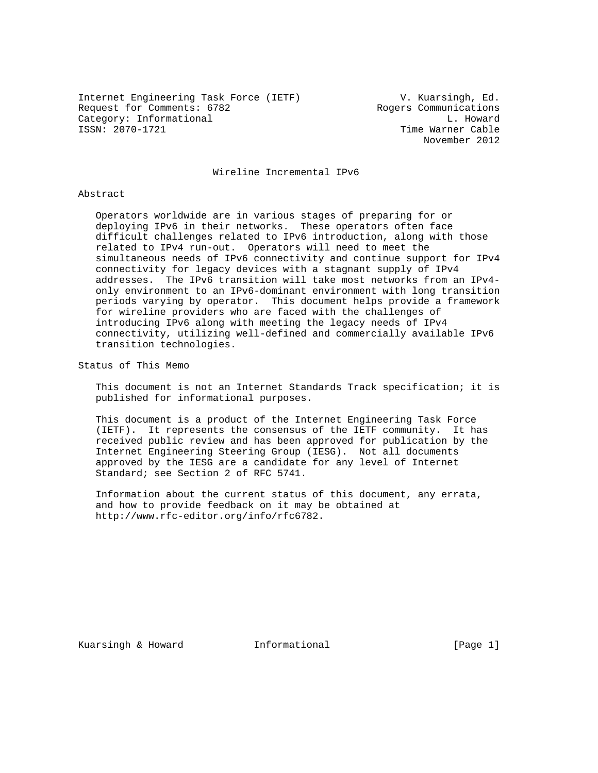Internet Engineering Task Force (IETF)  $V.$  Kuarsingh, Ed.<br>Request for Comments: 6782 Rogers Communications Request for Comments: 6782 Category: Informational and L. Howard<br>
ISSN: 2070-1721 communicational communications of the Marner Cable

Time Warner Cable November 2012

Wireline Incremental IPv6

#### Abstract

 Operators worldwide are in various stages of preparing for or deploying IPv6 in their networks. These operators often face difficult challenges related to IPv6 introduction, along with those related to IPv4 run-out. Operators will need to meet the simultaneous needs of IPv6 connectivity and continue support for IPv4 connectivity for legacy devices with a stagnant supply of IPv4 addresses. The IPv6 transition will take most networks from an IPv4 only environment to an IPv6-dominant environment with long transition periods varying by operator. This document helps provide a framework for wireline providers who are faced with the challenges of introducing IPv6 along with meeting the legacy needs of IPv4 connectivity, utilizing well-defined and commercially available IPv6 transition technologies.

Status of This Memo

 This document is not an Internet Standards Track specification; it is published for informational purposes.

 This document is a product of the Internet Engineering Task Force (IETF). It represents the consensus of the IETF community. It has received public review and has been approved for publication by the Internet Engineering Steering Group (IESG). Not all documents approved by the IESG are a candidate for any level of Internet Standard; see Section 2 of RFC 5741.

 Information about the current status of this document, any errata, and how to provide feedback on it may be obtained at http://www.rfc-editor.org/info/rfc6782.

Kuarsingh & Howard **Informational Informational** [Page 1]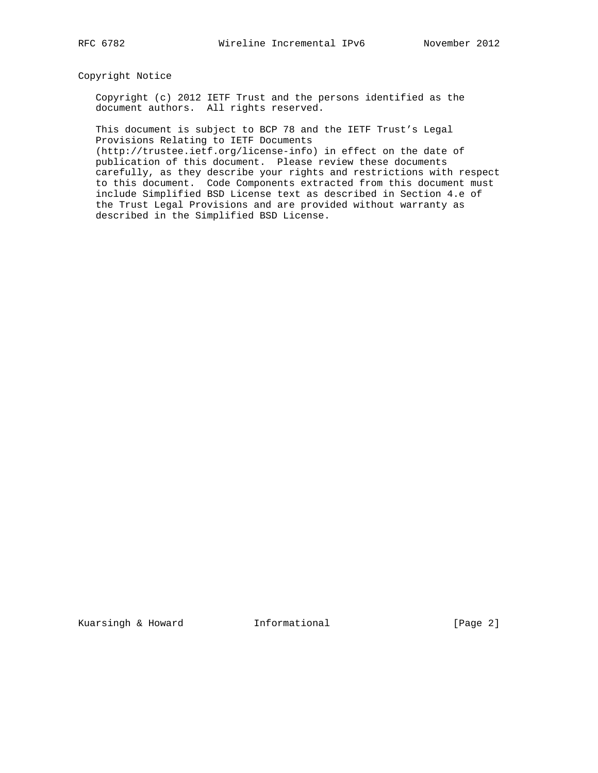# Copyright Notice

 Copyright (c) 2012 IETF Trust and the persons identified as the document authors. All rights reserved.

 This document is subject to BCP 78 and the IETF Trust's Legal Provisions Relating to IETF Documents

 (http://trustee.ietf.org/license-info) in effect on the date of publication of this document. Please review these documents carefully, as they describe your rights and restrictions with respect to this document. Code Components extracted from this document must include Simplified BSD License text as described in Section 4.e of the Trust Legal Provisions and are provided without warranty as described in the Simplified BSD License.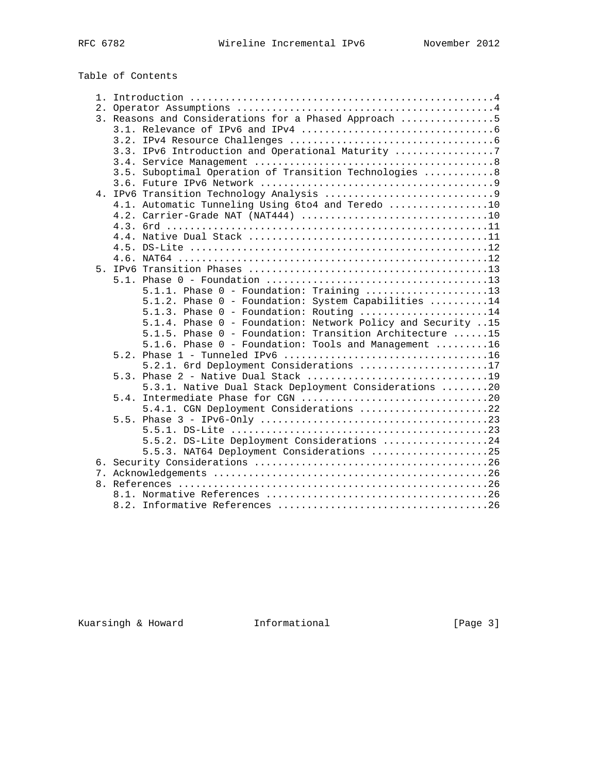# Table of Contents

|  | 3. Reasons and Considerations for a Phased Approach 5       |
|--|-------------------------------------------------------------|
|  |                                                             |
|  |                                                             |
|  | 3.3. IPv6 Introduction and Operational Maturity 7           |
|  |                                                             |
|  | 3.5. Suboptimal Operation of Transition Technologies  8     |
|  |                                                             |
|  |                                                             |
|  | 4.1. Automatic Tunneling Using 6to4 and Teredo 10           |
|  |                                                             |
|  |                                                             |
|  |                                                             |
|  |                                                             |
|  |                                                             |
|  |                                                             |
|  |                                                             |
|  |                                                             |
|  | 5.1.2. Phase 0 - Foundation: System Capabilities 14         |
|  | 5.1.3. Phase 0 - Foundation: Routing 14                     |
|  | 5.1.4. Phase 0 - Foundation: Network Policy and Security 15 |
|  | 5.1.5. Phase 0 - Foundation: Transition Architecture 15     |
|  | 5.1.6. Phase 0 - Foundation: Tools and Management 16        |
|  |                                                             |
|  | 5.2.1. 6rd Deployment Considerations 17                     |
|  |                                                             |
|  | 5.3.1. Native Dual Stack Deployment Considerations 20       |
|  |                                                             |
|  | 5.4.1. CGN Deployment Considerations 22                     |
|  |                                                             |
|  |                                                             |
|  | 5.5.2. DS-Lite Deployment Considerations 24                 |
|  | 5.5.3. NAT64 Deployment Considerations 25                   |
|  |                                                             |
|  |                                                             |
|  |                                                             |
|  |                                                             |
|  |                                                             |

Kuarsingh & Howard **Informational** [Page 3]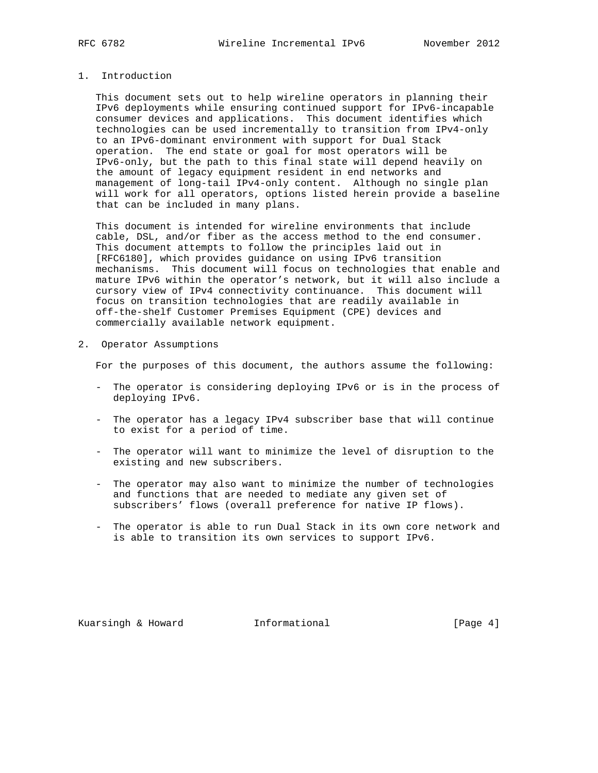# 1. Introduction

 This document sets out to help wireline operators in planning their IPv6 deployments while ensuring continued support for IPv6-incapable consumer devices and applications. This document identifies which technologies can be used incrementally to transition from IPv4-only to an IPv6-dominant environment with support for Dual Stack operation. The end state or goal for most operators will be IPv6-only, but the path to this final state will depend heavily on the amount of legacy equipment resident in end networks and management of long-tail IPv4-only content. Although no single plan will work for all operators, options listed herein provide a baseline that can be included in many plans.

 This document is intended for wireline environments that include cable, DSL, and/or fiber as the access method to the end consumer. This document attempts to follow the principles laid out in [RFC6180], which provides guidance on using IPv6 transition mechanisms. This document will focus on technologies that enable and mature IPv6 within the operator's network, but it will also include a cursory view of IPv4 connectivity continuance. This document will focus on transition technologies that are readily available in off-the-shelf Customer Premises Equipment (CPE) devices and commercially available network equipment.

2. Operator Assumptions

For the purposes of this document, the authors assume the following:

- The operator is considering deploying IPv6 or is in the process of deploying IPv6.
- The operator has a legacy IPv4 subscriber base that will continue to exist for a period of time.
- The operator will want to minimize the level of disruption to the existing and new subscribers.
- The operator may also want to minimize the number of technologies and functions that are needed to mediate any given set of subscribers' flows (overall preference for native IP flows).
- The operator is able to run Dual Stack in its own core network and is able to transition its own services to support IPv6.

Kuarsingh & Howard Informational [Page 4]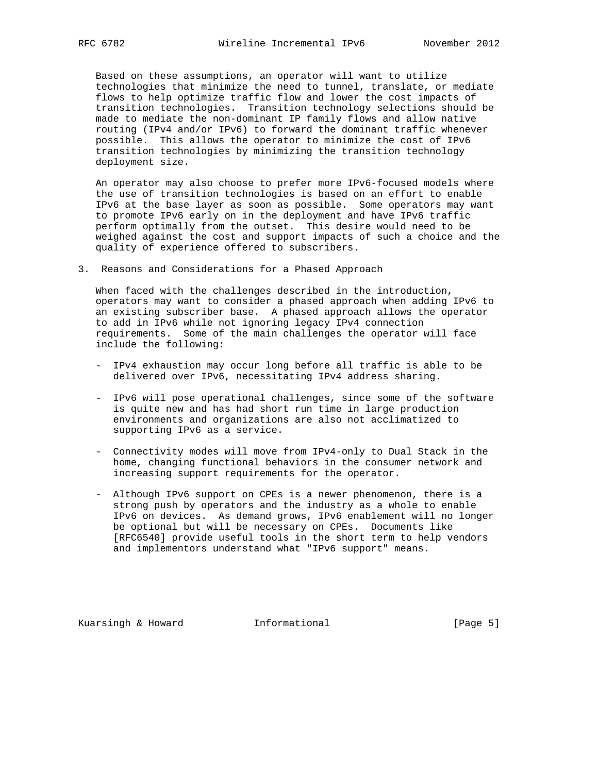Based on these assumptions, an operator will want to utilize technologies that minimize the need to tunnel, translate, or mediate flows to help optimize traffic flow and lower the cost impacts of transition technologies. Transition technology selections should be made to mediate the non-dominant IP family flows and allow native routing (IPv4 and/or IPv6) to forward the dominant traffic whenever possible. This allows the operator to minimize the cost of IPv6 transition technologies by minimizing the transition technology deployment size.

 An operator may also choose to prefer more IPv6-focused models where the use of transition technologies is based on an effort to enable IPv6 at the base layer as soon as possible. Some operators may want to promote IPv6 early on in the deployment and have IPv6 traffic perform optimally from the outset. This desire would need to be weighed against the cost and support impacts of such a choice and the quality of experience offered to subscribers.

3. Reasons and Considerations for a Phased Approach

 When faced with the challenges described in the introduction, operators may want to consider a phased approach when adding IPv6 to an existing subscriber base. A phased approach allows the operator to add in IPv6 while not ignoring legacy IPv4 connection requirements. Some of the main challenges the operator will face include the following:

- IPv4 exhaustion may occur long before all traffic is able to be delivered over IPv6, necessitating IPv4 address sharing.
- IPv6 will pose operational challenges, since some of the software is quite new and has had short run time in large production environments and organizations are also not acclimatized to supporting IPv6 as a service.
- Connectivity modes will move from IPv4-only to Dual Stack in the home, changing functional behaviors in the consumer network and increasing support requirements for the operator.
- Although IPv6 support on CPEs is a newer phenomenon, there is a strong push by operators and the industry as a whole to enable IPv6 on devices. As demand grows, IPv6 enablement will no longer be optional but will be necessary on CPEs. Documents like [RFC6540] provide useful tools in the short term to help vendors and implementors understand what "IPv6 support" means.

Kuarsingh & Howard Informational [Page 5]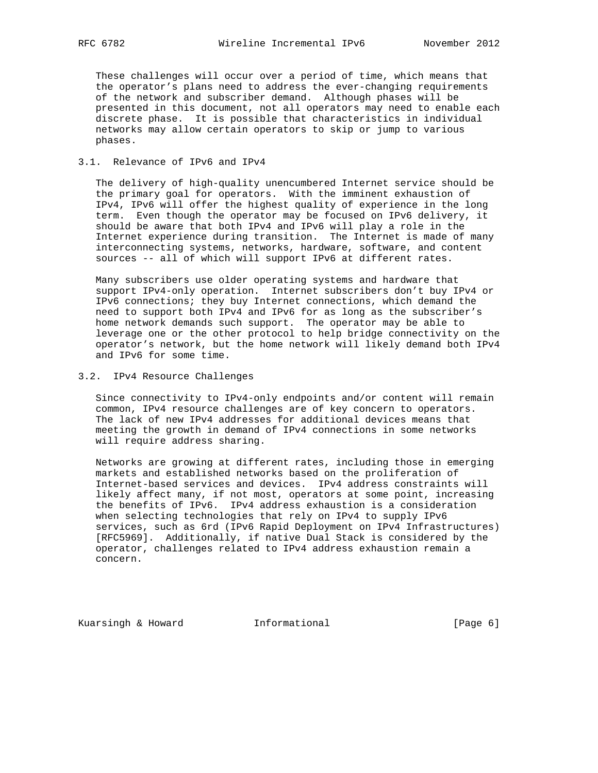These challenges will occur over a period of time, which means that the operator's plans need to address the ever-changing requirements of the network and subscriber demand. Although phases will be presented in this document, not all operators may need to enable each discrete phase. It is possible that characteristics in individual networks may allow certain operators to skip or jump to various phases.

# 3.1. Relevance of IPv6 and IPv4

 The delivery of high-quality unencumbered Internet service should be the primary goal for operators. With the imminent exhaustion of IPv4, IPv6 will offer the highest quality of experience in the long term. Even though the operator may be focused on IPv6 delivery, it should be aware that both IPv4 and IPv6 will play a role in the Internet experience during transition. The Internet is made of many interconnecting systems, networks, hardware, software, and content sources -- all of which will support IPv6 at different rates.

 Many subscribers use older operating systems and hardware that support IPv4-only operation. Internet subscribers don't buy IPv4 or IPv6 connections; they buy Internet connections, which demand the need to support both IPv4 and IPv6 for as long as the subscriber's home network demands such support. The operator may be able to leverage one or the other protocol to help bridge connectivity on the operator's network, but the home network will likely demand both IPv4 and IPv6 for some time.

3.2. IPv4 Resource Challenges

 Since connectivity to IPv4-only endpoints and/or content will remain common, IPv4 resource challenges are of key concern to operators. The lack of new IPv4 addresses for additional devices means that meeting the growth in demand of IPv4 connections in some networks will require address sharing.

 Networks are growing at different rates, including those in emerging markets and established networks based on the proliferation of Internet-based services and devices. IPv4 address constraints will likely affect many, if not most, operators at some point, increasing the benefits of IPv6. IPv4 address exhaustion is a consideration when selecting technologies that rely on IPv4 to supply IPv6 services, such as 6rd (IPv6 Rapid Deployment on IPv4 Infrastructures) [RFC5969]. Additionally, if native Dual Stack is considered by the operator, challenges related to IPv4 address exhaustion remain a concern.

Kuarsingh & Howard Informational [Page 6]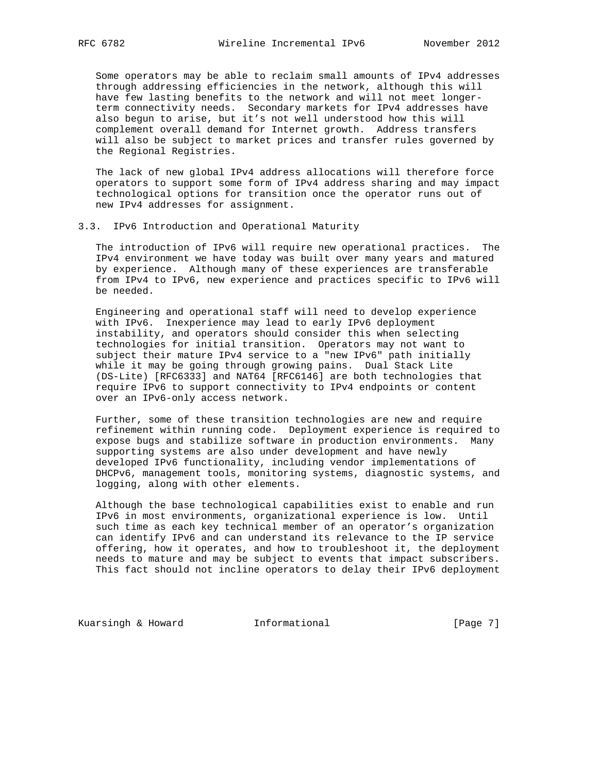Some operators may be able to reclaim small amounts of IPv4 addresses through addressing efficiencies in the network, although this will have few lasting benefits to the network and will not meet longer term connectivity needs. Secondary markets for IPv4 addresses have also begun to arise, but it's not well understood how this will complement overall demand for Internet growth. Address transfers will also be subject to market prices and transfer rules governed by the Regional Registries.

 The lack of new global IPv4 address allocations will therefore force operators to support some form of IPv4 address sharing and may impact technological options for transition once the operator runs out of new IPv4 addresses for assignment.

#### 3.3. IPv6 Introduction and Operational Maturity

 The introduction of IPv6 will require new operational practices. The IPv4 environment we have today was built over many years and matured by experience. Although many of these experiences are transferable from IPv4 to IPv6, new experience and practices specific to IPv6 will be needed.

 Engineering and operational staff will need to develop experience with IPv6. Inexperience may lead to early IPv6 deployment instability, and operators should consider this when selecting technologies for initial transition. Operators may not want to subject their mature IPv4 service to a "new IPv6" path initially while it may be going through growing pains. Dual Stack Lite (DS-Lite) [RFC6333] and NAT64 [RFC6146] are both technologies that require IPv6 to support connectivity to IPv4 endpoints or content over an IPv6-only access network.

 Further, some of these transition technologies are new and require refinement within running code. Deployment experience is required to expose bugs and stabilize software in production environments. Many supporting systems are also under development and have newly developed IPv6 functionality, including vendor implementations of DHCPv6, management tools, monitoring systems, diagnostic systems, and logging, along with other elements.

 Although the base technological capabilities exist to enable and run IPv6 in most environments, organizational experience is low. Until such time as each key technical member of an operator's organization can identify IPv6 and can understand its relevance to the IP service offering, how it operates, and how to troubleshoot it, the deployment needs to mature and may be subject to events that impact subscribers. This fact should not incline operators to delay their IPv6 deployment

Kuarsingh & Howard **Informational** [Page 7]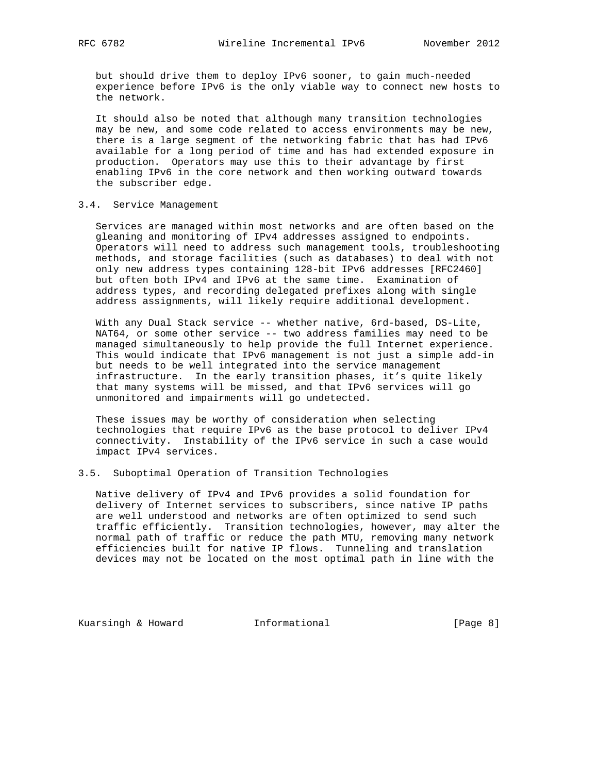but should drive them to deploy IPv6 sooner, to gain much-needed experience before IPv6 is the only viable way to connect new hosts to the network.

 It should also be noted that although many transition technologies may be new, and some code related to access environments may be new, there is a large segment of the networking fabric that has had IPv6 available for a long period of time and has had extended exposure in production. Operators may use this to their advantage by first enabling IPv6 in the core network and then working outward towards the subscriber edge.

#### 3.4. Service Management

 Services are managed within most networks and are often based on the gleaning and monitoring of IPv4 addresses assigned to endpoints. Operators will need to address such management tools, troubleshooting methods, and storage facilities (such as databases) to deal with not only new address types containing 128-bit IPv6 addresses [RFC2460] but often both IPv4 and IPv6 at the same time. Examination of address types, and recording delegated prefixes along with single address assignments, will likely require additional development.

 With any Dual Stack service -- whether native, 6rd-based, DS-Lite, NAT64, or some other service -- two address families may need to be managed simultaneously to help provide the full Internet experience. This would indicate that IPv6 management is not just a simple add-in but needs to be well integrated into the service management infrastructure. In the early transition phases, it's quite likely that many systems will be missed, and that IPv6 services will go unmonitored and impairments will go undetected.

 These issues may be worthy of consideration when selecting technologies that require IPv6 as the base protocol to deliver IPv4 connectivity. Instability of the IPv6 service in such a case would impact IPv4 services.

### 3.5. Suboptimal Operation of Transition Technologies

 Native delivery of IPv4 and IPv6 provides a solid foundation for delivery of Internet services to subscribers, since native IP paths are well understood and networks are often optimized to send such traffic efficiently. Transition technologies, however, may alter the normal path of traffic or reduce the path MTU, removing many network efficiencies built for native IP flows. Tunneling and translation devices may not be located on the most optimal path in line with the

Kuarsingh & Howard **Informational Informational** [Page 8]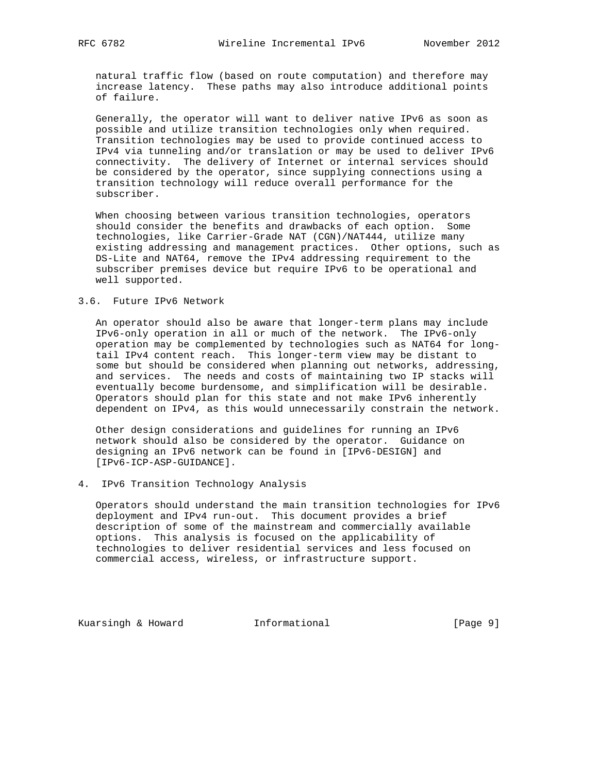natural traffic flow (based on route computation) and therefore may increase latency. These paths may also introduce additional points of failure.

 Generally, the operator will want to deliver native IPv6 as soon as possible and utilize transition technologies only when required. Transition technologies may be used to provide continued access to IPv4 via tunneling and/or translation or may be used to deliver IPv6 connectivity. The delivery of Internet or internal services should be considered by the operator, since supplying connections using a transition technology will reduce overall performance for the subscriber.

 When choosing between various transition technologies, operators should consider the benefits and drawbacks of each option. Some technologies, like Carrier-Grade NAT (CGN)/NAT444, utilize many existing addressing and management practices. Other options, such as DS-Lite and NAT64, remove the IPv4 addressing requirement to the subscriber premises device but require IPv6 to be operational and well supported.

### 3.6. Future IPv6 Network

 An operator should also be aware that longer-term plans may include IPv6-only operation in all or much of the network. The IPv6-only operation may be complemented by technologies such as NAT64 for long tail IPv4 content reach. This longer-term view may be distant to some but should be considered when planning out networks, addressing, and services. The needs and costs of maintaining two IP stacks will eventually become burdensome, and simplification will be desirable. Operators should plan for this state and not make IPv6 inherently dependent on IPv4, as this would unnecessarily constrain the network.

 Other design considerations and guidelines for running an IPv6 network should also be considered by the operator. Guidance on designing an IPv6 network can be found in [IPv6-DESIGN] and [IPv6-ICP-ASP-GUIDANCE].

4. IPv6 Transition Technology Analysis

 Operators should understand the main transition technologies for IPv6 deployment and IPv4 run-out. This document provides a brief description of some of the mainstream and commercially available options. This analysis is focused on the applicability of technologies to deliver residential services and less focused on commercial access, wireless, or infrastructure support.

Kuarsingh & Howard **Informational Informational** [Page 9]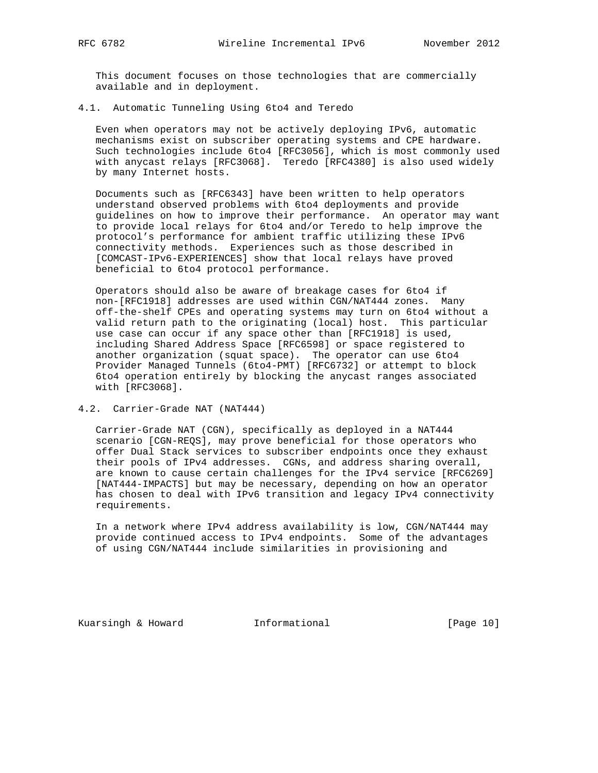This document focuses on those technologies that are commercially available and in deployment.

4.1. Automatic Tunneling Using 6to4 and Teredo

 Even when operators may not be actively deploying IPv6, automatic mechanisms exist on subscriber operating systems and CPE hardware. Such technologies include 6to4 [RFC3056], which is most commonly used with anycast relays [RFC3068]. Teredo [RFC4380] is also used widely by many Internet hosts.

 Documents such as [RFC6343] have been written to help operators understand observed problems with 6to4 deployments and provide guidelines on how to improve their performance. An operator may want to provide local relays for 6to4 and/or Teredo to help improve the protocol's performance for ambient traffic utilizing these IPv6 connectivity methods. Experiences such as those described in [COMCAST-IPv6-EXPERIENCES] show that local relays have proved beneficial to 6to4 protocol performance.

 Operators should also be aware of breakage cases for 6to4 if non-[RFC1918] addresses are used within CGN/NAT444 zones. Many off-the-shelf CPEs and operating systems may turn on 6to4 without a valid return path to the originating (local) host. This particular use case can occur if any space other than [RFC1918] is used, including Shared Address Space [RFC6598] or space registered to another organization (squat space). The operator can use 6to4 Provider Managed Tunnels (6to4-PMT) [RFC6732] or attempt to block 6to4 operation entirely by blocking the anycast ranges associated with [RFC3068].

4.2. Carrier-Grade NAT (NAT444)

 Carrier-Grade NAT (CGN), specifically as deployed in a NAT444 scenario [CGN-REQS], may prove beneficial for those operators who offer Dual Stack services to subscriber endpoints once they exhaust their pools of IPv4 addresses. CGNs, and address sharing overall, are known to cause certain challenges for the IPv4 service [RFC6269] [NAT444-IMPACTS] but may be necessary, depending on how an operator has chosen to deal with IPv6 transition and legacy IPv4 connectivity requirements.

 In a network where IPv4 address availability is low, CGN/NAT444 may provide continued access to IPv4 endpoints. Some of the advantages of using CGN/NAT444 include similarities in provisioning and

Kuarsingh & Howard **Informational** [Page 10]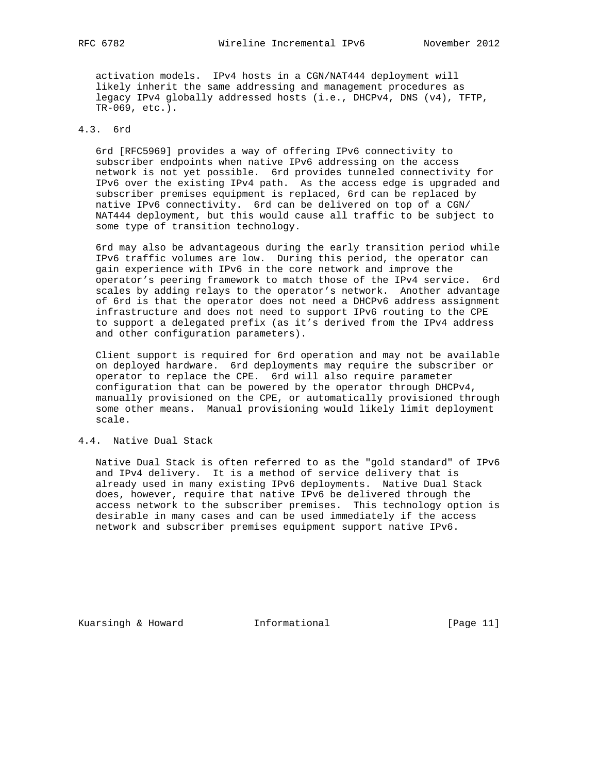activation models. IPv4 hosts in a CGN/NAT444 deployment will likely inherit the same addressing and management procedures as legacy IPv4 globally addressed hosts (i.e., DHCPv4, DNS (v4), TFTP, TR-069, etc.).

# 4.3. 6rd

 6rd [RFC5969] provides a way of offering IPv6 connectivity to subscriber endpoints when native IPv6 addressing on the access network is not yet possible. 6rd provides tunneled connectivity for IPv6 over the existing IPv4 path. As the access edge is upgraded and subscriber premises equipment is replaced, 6rd can be replaced by native IPv6 connectivity. 6rd can be delivered on top of a CGN/ NAT444 deployment, but this would cause all traffic to be subject to some type of transition technology.

 6rd may also be advantageous during the early transition period while IPv6 traffic volumes are low. During this period, the operator can gain experience with IPv6 in the core network and improve the operator's peering framework to match those of the IPv4 service. 6rd scales by adding relays to the operator's network. Another advantage of 6rd is that the operator does not need a DHCPv6 address assignment infrastructure and does not need to support IPv6 routing to the CPE to support a delegated prefix (as it's derived from the IPv4 address and other configuration parameters).

 Client support is required for 6rd operation and may not be available on deployed hardware. 6rd deployments may require the subscriber or operator to replace the CPE. 6rd will also require parameter configuration that can be powered by the operator through DHCPv4, manually provisioned on the CPE, or automatically provisioned through some other means. Manual provisioning would likely limit deployment scale.

# 4.4. Native Dual Stack

 Native Dual Stack is often referred to as the "gold standard" of IPv6 and IPv4 delivery. It is a method of service delivery that is already used in many existing IPv6 deployments. Native Dual Stack does, however, require that native IPv6 be delivered through the access network to the subscriber premises. This technology option is desirable in many cases and can be used immediately if the access network and subscriber premises equipment support native IPv6.

Kuarsingh & Howard **Informational** [Page 11]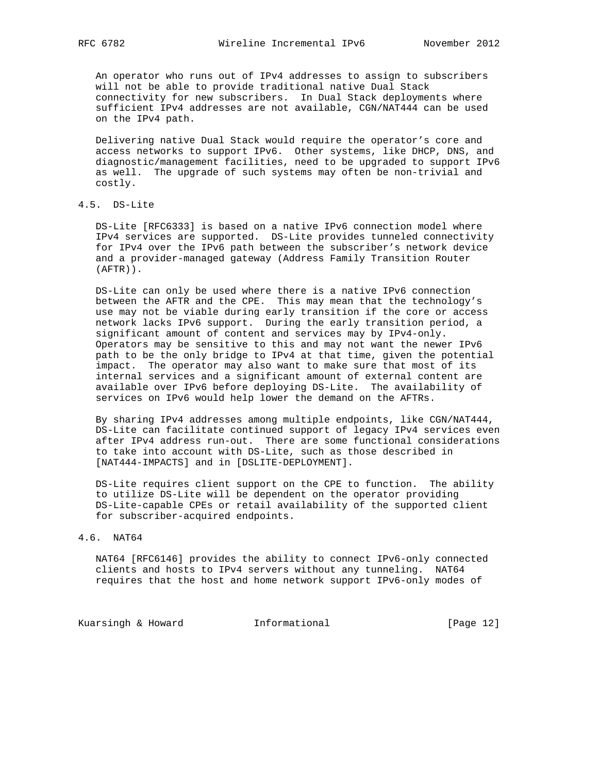An operator who runs out of IPv4 addresses to assign to subscribers will not be able to provide traditional native Dual Stack connectivity for new subscribers. In Dual Stack deployments where sufficient IPv4 addresses are not available, CGN/NAT444 can be used on the IPv4 path.

 Delivering native Dual Stack would require the operator's core and access networks to support IPv6. Other systems, like DHCP, DNS, and diagnostic/management facilities, need to be upgraded to support IPv6 as well. The upgrade of such systems may often be non-trivial and costly.

4.5. DS-Lite

 DS-Lite [RFC6333] is based on a native IPv6 connection model where IPv4 services are supported. DS-Lite provides tunneled connectivity for IPv4 over the IPv6 path between the subscriber's network device and a provider-managed gateway (Address Family Transition Router (AFTR)).

 DS-Lite can only be used where there is a native IPv6 connection between the AFTR and the CPE. This may mean that the technology's use may not be viable during early transition if the core or access network lacks IPv6 support. During the early transition period, a significant amount of content and services may by IPv4-only. Operators may be sensitive to this and may not want the newer IPv6 path to be the only bridge to IPv4 at that time, given the potential impact. The operator may also want to make sure that most of its internal services and a significant amount of external content are available over IPv6 before deploying DS-Lite. The availability of services on IPv6 would help lower the demand on the AFTRs.

 By sharing IPv4 addresses among multiple endpoints, like CGN/NAT444, DS-Lite can facilitate continued support of legacy IPv4 services even after IPv4 address run-out. There are some functional considerations to take into account with DS-Lite, such as those described in [NAT444-IMPACTS] and in [DSLITE-DEPLOYMENT].

 DS-Lite requires client support on the CPE to function. The ability to utilize DS-Lite will be dependent on the operator providing DS-Lite-capable CPEs or retail availability of the supported client for subscriber-acquired endpoints.

#### 4.6. NAT64

 NAT64 [RFC6146] provides the ability to connect IPv6-only connected clients and hosts to IPv4 servers without any tunneling. NAT64 requires that the host and home network support IPv6-only modes of

Kuarsingh & Howard **Informational** [Page 12]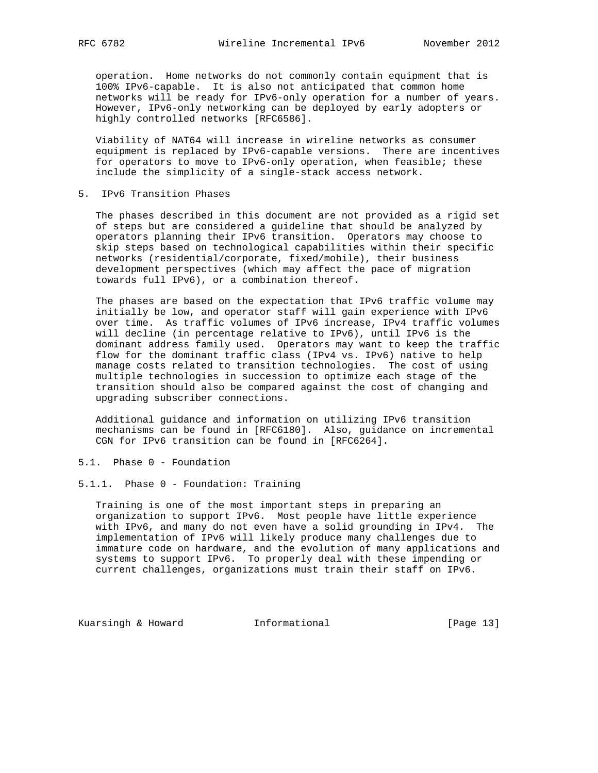operation. Home networks do not commonly contain equipment that is 100% IPv6-capable. It is also not anticipated that common home networks will be ready for IPv6-only operation for a number of years. However, IPv6-only networking can be deployed by early adopters or highly controlled networks [RFC6586].

 Viability of NAT64 will increase in wireline networks as consumer equipment is replaced by IPv6-capable versions. There are incentives for operators to move to IPv6-only operation, when feasible; these include the simplicity of a single-stack access network.

5. IPv6 Transition Phases

 The phases described in this document are not provided as a rigid set of steps but are considered a guideline that should be analyzed by operators planning their IPv6 transition. Operators may choose to skip steps based on technological capabilities within their specific networks (residential/corporate, fixed/mobile), their business development perspectives (which may affect the pace of migration towards full IPv6), or a combination thereof.

 The phases are based on the expectation that IPv6 traffic volume may initially be low, and operator staff will gain experience with IPv6 over time. As traffic volumes of IPv6 increase, IPv4 traffic volumes will decline (in percentage relative to IPv6), until IPv6 is the dominant address family used. Operators may want to keep the traffic flow for the dominant traffic class (IPv4 vs. IPv6) native to help manage costs related to transition technologies. The cost of using multiple technologies in succession to optimize each stage of the transition should also be compared against the cost of changing and upgrading subscriber connections.

 Additional guidance and information on utilizing IPv6 transition mechanisms can be found in [RFC6180]. Also, guidance on incremental CGN for IPv6 transition can be found in [RFC6264].

- 5.1. Phase 0 Foundation
- 5.1.1. Phase 0 Foundation: Training

 Training is one of the most important steps in preparing an organization to support IPv6. Most people have little experience with IPv6, and many do not even have a solid grounding in IPv4. The implementation of IPv6 will likely produce many challenges due to immature code on hardware, and the evolution of many applications and systems to support IPv6. To properly deal with these impending or current challenges, organizations must train their staff on IPv6.

Kuarsingh & Howard **Informational Informational** [Page 13]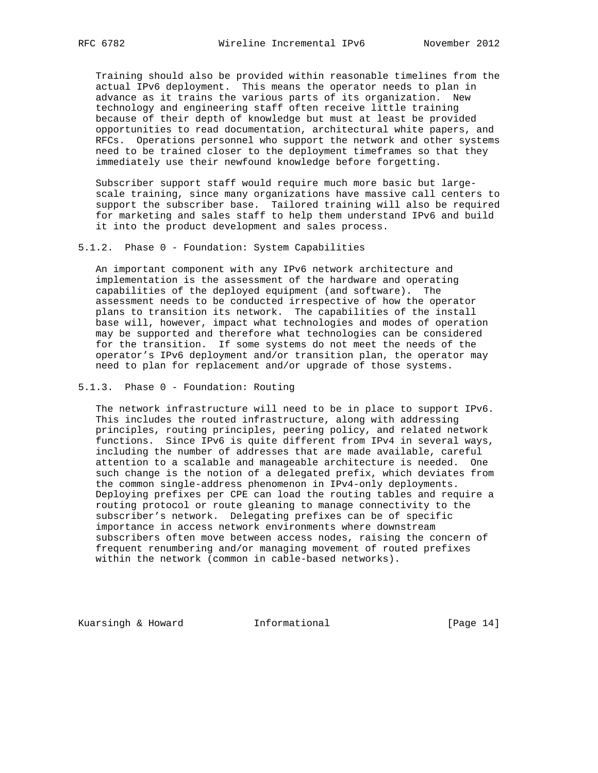Training should also be provided within reasonable timelines from the actual IPv6 deployment. This means the operator needs to plan in advance as it trains the various parts of its organization. New technology and engineering staff often receive little training because of their depth of knowledge but must at least be provided opportunities to read documentation, architectural white papers, and RFCs. Operations personnel who support the network and other systems need to be trained closer to the deployment timeframes so that they immediately use their newfound knowledge before forgetting.

 Subscriber support staff would require much more basic but large scale training, since many organizations have massive call centers to support the subscriber base. Tailored training will also be required for marketing and sales staff to help them understand IPv6 and build it into the product development and sales process.

5.1.2. Phase 0 - Foundation: System Capabilities

 An important component with any IPv6 network architecture and implementation is the assessment of the hardware and operating capabilities of the deployed equipment (and software). The assessment needs to be conducted irrespective of how the operator plans to transition its network. The capabilities of the install base will, however, impact what technologies and modes of operation may be supported and therefore what technologies can be considered for the transition. If some systems do not meet the needs of the operator's IPv6 deployment and/or transition plan, the operator may need to plan for replacement and/or upgrade of those systems.

5.1.3. Phase 0 - Foundation: Routing

 The network infrastructure will need to be in place to support IPv6. This includes the routed infrastructure, along with addressing principles, routing principles, peering policy, and related network functions. Since IPv6 is quite different from IPv4 in several ways, including the number of addresses that are made available, careful attention to a scalable and manageable architecture is needed. One such change is the notion of a delegated prefix, which deviates from the common single-address phenomenon in IPv4-only deployments. Deploying prefixes per CPE can load the routing tables and require a routing protocol or route gleaning to manage connectivity to the subscriber's network. Delegating prefixes can be of specific importance in access network environments where downstream subscribers often move between access nodes, raising the concern of frequent renumbering and/or managing movement of routed prefixes within the network (common in cable-based networks).

Kuarsingh & Howard **Informational** [Page 14]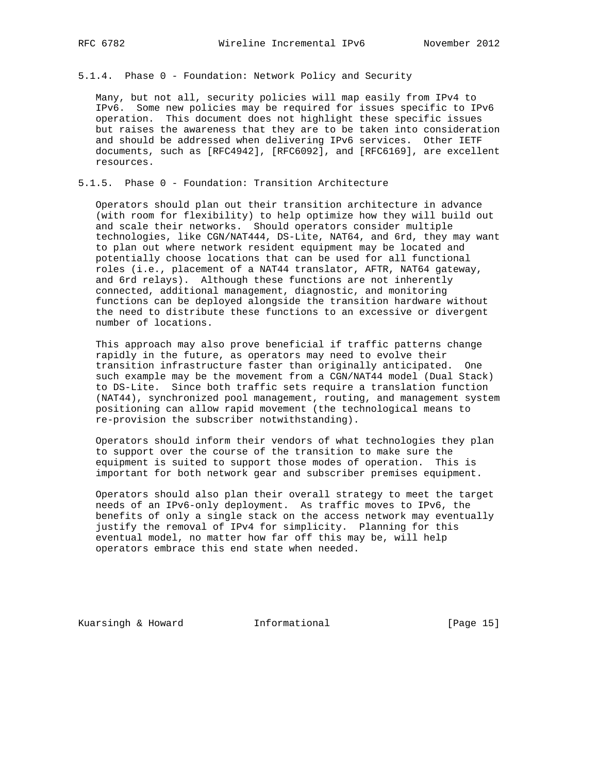5.1.4. Phase 0 - Foundation: Network Policy and Security

 Many, but not all, security policies will map easily from IPv4 to IPv6. Some new policies may be required for issues specific to IPv6 operation. This document does not highlight these specific issues but raises the awareness that they are to be taken into consideration and should be addressed when delivering IPv6 services. Other IETF documents, such as [RFC4942], [RFC6092], and [RFC6169], are excellent resources.

5.1.5. Phase 0 - Foundation: Transition Architecture

 Operators should plan out their transition architecture in advance (with room for flexibility) to help optimize how they will build out and scale their networks. Should operators consider multiple technologies, like CGN/NAT444, DS-Lite, NAT64, and 6rd, they may want to plan out where network resident equipment may be located and potentially choose locations that can be used for all functional roles (i.e., placement of a NAT44 translator, AFTR, NAT64 gateway, and 6rd relays). Although these functions are not inherently connected, additional management, diagnostic, and monitoring functions can be deployed alongside the transition hardware without the need to distribute these functions to an excessive or divergent number of locations.

 This approach may also prove beneficial if traffic patterns change rapidly in the future, as operators may need to evolve their transition infrastructure faster than originally anticipated. One such example may be the movement from a CGN/NAT44 model (Dual Stack) to DS-Lite. Since both traffic sets require a translation function (NAT44), synchronized pool management, routing, and management system positioning can allow rapid movement (the technological means to re-provision the subscriber notwithstanding).

 Operators should inform their vendors of what technologies they plan to support over the course of the transition to make sure the equipment is suited to support those modes of operation. This is important for both network gear and subscriber premises equipment.

 Operators should also plan their overall strategy to meet the target needs of an IPv6-only deployment. As traffic moves to IPv6, the benefits of only a single stack on the access network may eventually justify the removal of IPv4 for simplicity. Planning for this eventual model, no matter how far off this may be, will help operators embrace this end state when needed.

Kuarsingh & Howard **Informational** [Page 15]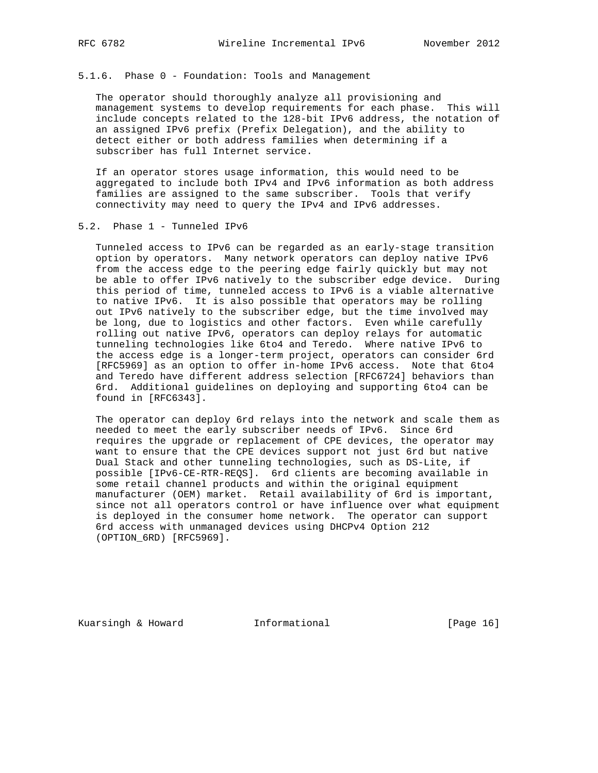#### 5.1.6. Phase 0 - Foundation: Tools and Management

 The operator should thoroughly analyze all provisioning and management systems to develop requirements for each phase. This will include concepts related to the 128-bit IPv6 address, the notation of an assigned IPv6 prefix (Prefix Delegation), and the ability to detect either or both address families when determining if a subscriber has full Internet service.

 If an operator stores usage information, this would need to be aggregated to include both IPv4 and IPv6 information as both address families are assigned to the same subscriber. Tools that verify connectivity may need to query the IPv4 and IPv6 addresses.

### 5.2. Phase 1 - Tunneled IPv6

 Tunneled access to IPv6 can be regarded as an early-stage transition option by operators. Many network operators can deploy native IPv6 from the access edge to the peering edge fairly quickly but may not be able to offer IPv6 natively to the subscriber edge device. During this period of time, tunneled access to IPv6 is a viable alternative to native IPv6. It is also possible that operators may be rolling out IPv6 natively to the subscriber edge, but the time involved may be long, due to logistics and other factors. Even while carefully rolling out native IPv6, operators can deploy relays for automatic tunneling technologies like 6to4 and Teredo. Where native IPv6 to the access edge is a longer-term project, operators can consider 6rd [RFC5969] as an option to offer in-home IPv6 access. Note that 6to4 and Teredo have different address selection [RFC6724] behaviors than 6rd. Additional guidelines on deploying and supporting 6to4 can be found in [RFC6343].

 The operator can deploy 6rd relays into the network and scale them as needed to meet the early subscriber needs of IPv6. Since 6rd requires the upgrade or replacement of CPE devices, the operator may want to ensure that the CPE devices support not just 6rd but native Dual Stack and other tunneling technologies, such as DS-Lite, if possible [IPv6-CE-RTR-REQS]. 6rd clients are becoming available in some retail channel products and within the original equipment manufacturer (OEM) market. Retail availability of 6rd is important, since not all operators control or have influence over what equipment is deployed in the consumer home network. The operator can support 6rd access with unmanaged devices using DHCPv4 Option 212 (OPTION\_6RD) [RFC5969].

Kuarsingh & Howard **Informational** [Page 16]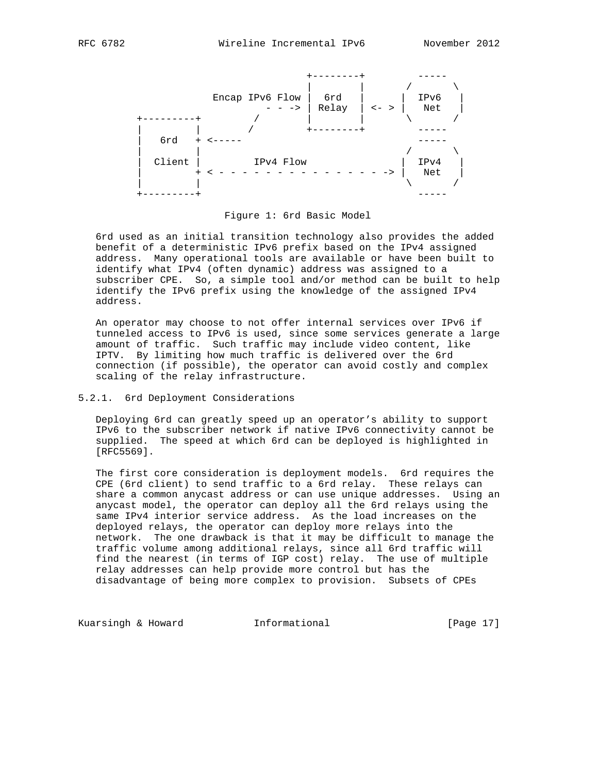

Figure 1: 6rd Basic Model

 6rd used as an initial transition technology also provides the added benefit of a deterministic IPv6 prefix based on the IPv4 assigned address. Many operational tools are available or have been built to identify what IPv4 (often dynamic) address was assigned to a subscriber CPE. So, a simple tool and/or method can be built to help identify the IPv6 prefix using the knowledge of the assigned IPv4 address.

 An operator may choose to not offer internal services over IPv6 if tunneled access to IPv6 is used, since some services generate a large amount of traffic. Such traffic may include video content, like IPTV. By limiting how much traffic is delivered over the 6rd connection (if possible), the operator can avoid costly and complex scaling of the relay infrastructure.

# 5.2.1. 6rd Deployment Considerations

 Deploying 6rd can greatly speed up an operator's ability to support IPv6 to the subscriber network if native IPv6 connectivity cannot be supplied. The speed at which 6rd can be deployed is highlighted in [RFC5569].

 The first core consideration is deployment models. 6rd requires the CPE (6rd client) to send traffic to a 6rd relay. These relays can share a common anycast address or can use unique addresses. Using an anycast model, the operator can deploy all the 6rd relays using the same IPv4 interior service address. As the load increases on the deployed relays, the operator can deploy more relays into the network. The one drawback is that it may be difficult to manage the traffic volume among additional relays, since all 6rd traffic will find the nearest (in terms of IGP cost) relay. The use of multiple relay addresses can help provide more control but has the disadvantage of being more complex to provision. Subsets of CPEs

Kuarsingh & Howard **Informational** [Page 17]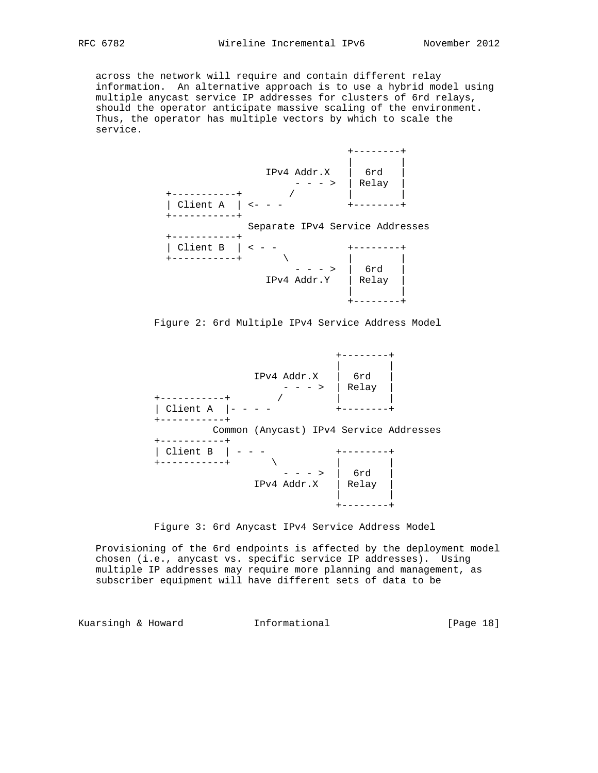across the network will require and contain different relay information. An alternative approach is to use a hybrid model using multiple anycast service IP addresses for clusters of 6rd relays, should the operator anticipate massive scaling of the environment. Thus, the operator has multiple vectors by which to scale the service.



Figure 2: 6rd Multiple IPv4 Service Address Model

 +--------+ | | IPv4 Addr.X | 6rd | - - - > | Relay | +-----------+ / | | | Client A  $|- - - -$  +-----------+ Common (Anycast) IPv4 Service Addresses +-----------+ | Client B | - - - +--------+ +-----------+ \ | | - - - > | 6rd | IPv4 Addr.X | Relay | | | +--------+



 Provisioning of the 6rd endpoints is affected by the deployment model chosen (i.e., anycast vs. specific service IP addresses). Using multiple IP addresses may require more planning and management, as subscriber equipment will have different sets of data to be

Kuarsingh & Howard **Informational** [Page 18]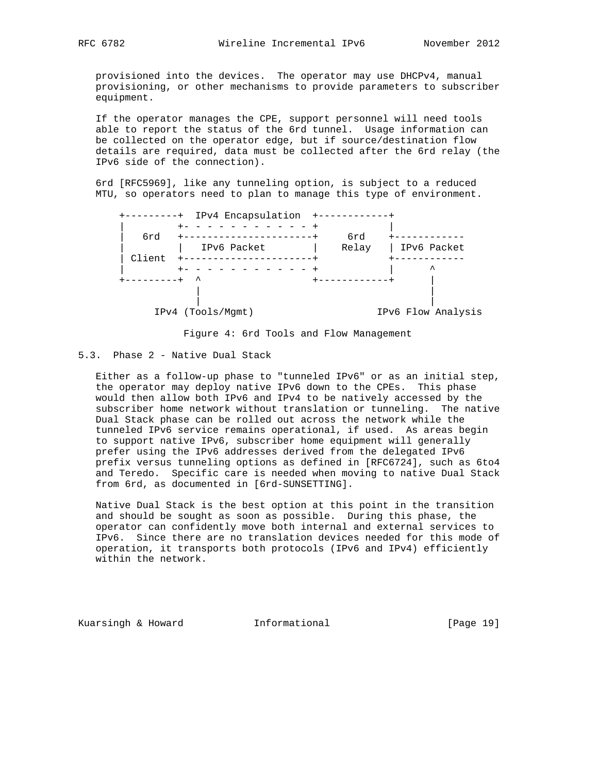provisioned into the devices. The operator may use DHCPv4, manual provisioning, or other mechanisms to provide parameters to subscriber equipment.

 If the operator manages the CPE, support personnel will need tools able to report the status of the 6rd tunnel. Usage information can be collected on the operator edge, but if source/destination flow details are required, data must be collected after the 6rd relay (the IPv6 side of the connection).

 6rd [RFC5969], like any tunneling option, is subject to a reduced MTU, so operators need to plan to manage this type of environment.

|        | IPv4 Encapsulation<br>$- - +$ |       |                    |
|--------|-------------------------------|-------|--------------------|
| 6rd    |                               | 6rd   |                    |
|        | IPv6 Packet                   | Relay | IPv6 Packet        |
| Client |                               |       | ᄉ                  |
|        | ᄉ                             |       |                    |
|        |                               |       |                    |
|        | IPv4 (Tools/Mqmt)             |       | IPv6 Flow Analysis |

Figure 4: 6rd Tools and Flow Management

# 5.3. Phase 2 - Native Dual Stack

 Either as a follow-up phase to "tunneled IPv6" or as an initial step, the operator may deploy native IPv6 down to the CPEs. This phase would then allow both IPv6 and IPv4 to be natively accessed by the subscriber home network without translation or tunneling. The native Dual Stack phase can be rolled out across the network while the tunneled IPv6 service remains operational, if used. As areas begin to support native IPv6, subscriber home equipment will generally prefer using the IPv6 addresses derived from the delegated IPv6 prefix versus tunneling options as defined in [RFC6724], such as 6to4 and Teredo. Specific care is needed when moving to native Dual Stack from 6rd, as documented in [6rd-SUNSETTING].

 Native Dual Stack is the best option at this point in the transition and should be sought as soon as possible. During this phase, the operator can confidently move both internal and external services to IPv6. Since there are no translation devices needed for this mode of operation, it transports both protocols (IPv6 and IPv4) efficiently within the network.

Kuarsingh & Howard **Informational** [Page 19]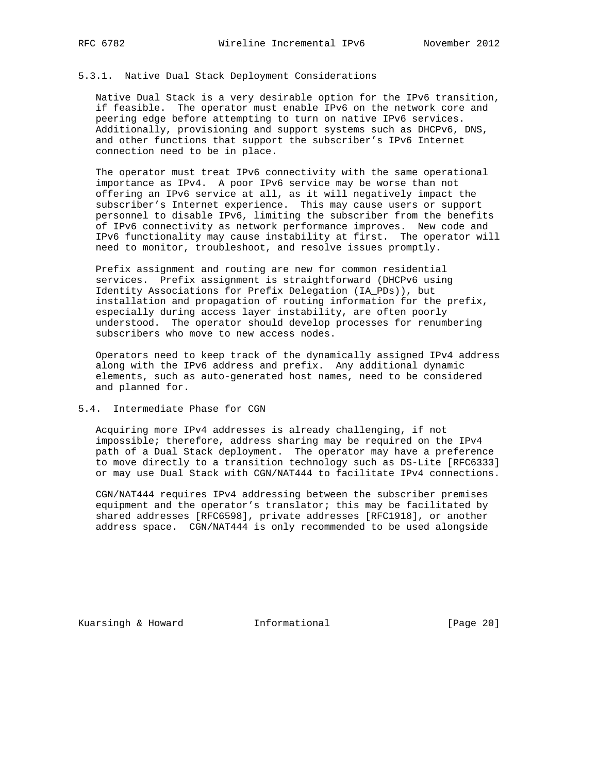#### 5.3.1. Native Dual Stack Deployment Considerations

 Native Dual Stack is a very desirable option for the IPv6 transition, if feasible. The operator must enable IPv6 on the network core and peering edge before attempting to turn on native IPv6 services. Additionally, provisioning and support systems such as DHCPv6, DNS, and other functions that support the subscriber's IPv6 Internet connection need to be in place.

 The operator must treat IPv6 connectivity with the same operational importance as IPv4. A poor IPv6 service may be worse than not offering an IPv6 service at all, as it will negatively impact the subscriber's Internet experience. This may cause users or support personnel to disable IPv6, limiting the subscriber from the benefits of IPv6 connectivity as network performance improves. New code and IPv6 functionality may cause instability at first. The operator will need to monitor, troubleshoot, and resolve issues promptly.

 Prefix assignment and routing are new for common residential services. Prefix assignment is straightforward (DHCPv6 using Identity Associations for Prefix Delegation (IA\_PDs)), but installation and propagation of routing information for the prefix, especially during access layer instability, are often poorly understood. The operator should develop processes for renumbering subscribers who move to new access nodes.

 Operators need to keep track of the dynamically assigned IPv4 address along with the IPv6 address and prefix. Any additional dynamic elements, such as auto-generated host names, need to be considered and planned for.

#### 5.4. Intermediate Phase for CGN

 Acquiring more IPv4 addresses is already challenging, if not impossible; therefore, address sharing may be required on the IPv4 path of a Dual Stack deployment. The operator may have a preference to move directly to a transition technology such as DS-Lite [RFC6333] or may use Dual Stack with CGN/NAT444 to facilitate IPv4 connections.

 CGN/NAT444 requires IPv4 addressing between the subscriber premises equipment and the operator's translator; this may be facilitated by shared addresses [RFC6598], private addresses [RFC1918], or another address space. CGN/NAT444 is only recommended to be used alongside

Kuarsingh & Howard **Informational** [Page 20]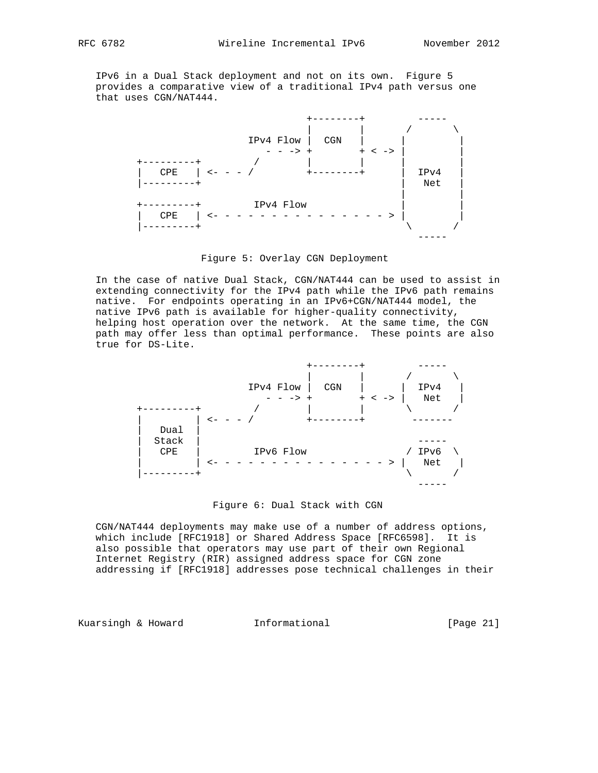IPv6 in a Dual Stack deployment and not on its own. Figure 5 provides a comparative view of a traditional IPv4 path versus one that uses CGN/NAT444.



Figure 5: Overlay CGN Deployment

 In the case of native Dual Stack, CGN/NAT444 can be used to assist in extending connectivity for the IPv4 path while the IPv6 path remains native. For endpoints operating in an IPv6+CGN/NAT444 model, the native IPv6 path is available for higher-quality connectivity, helping host operation over the network. At the same time, the CGN path may offer less than optimal performance. These points are also true for DS-Lite.



Figure 6: Dual Stack with CGN

 CGN/NAT444 deployments may make use of a number of address options, which include [RFC1918] or Shared Address Space [RFC6598]. It is also possible that operators may use part of their own Regional Internet Registry (RIR) assigned address space for CGN zone addressing if [RFC1918] addresses pose technical challenges in their

Kuarsingh & Howard **Informational** [Page 21]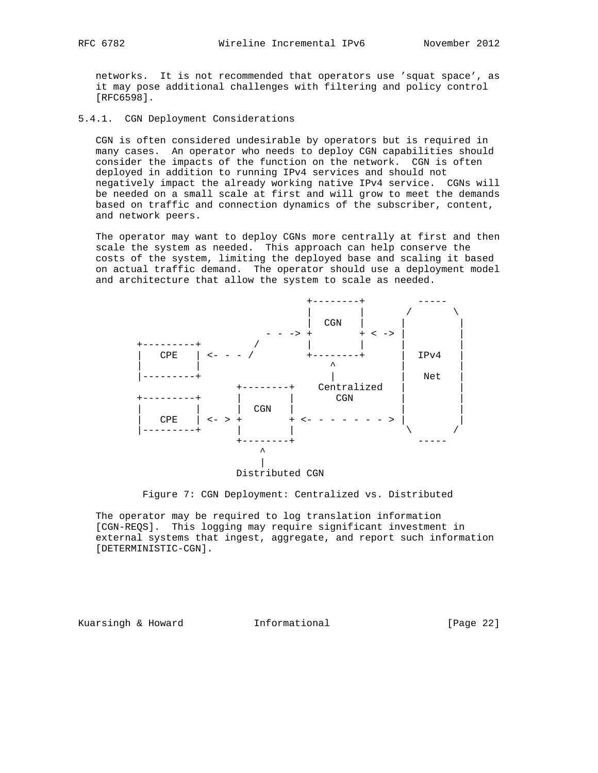networks. It is not recommended that operators use 'squat space', as it may pose additional challenges with filtering and policy control [RFC6598].

5.4.1. CGN Deployment Considerations

 CGN is often considered undesirable by operators but is required in many cases. An operator who needs to deploy CGN capabilities should consider the impacts of the function on the network. CGN is often deployed in addition to running IPv4 services and should not negatively impact the already working native IPv4 service. CGNs will be needed on a small scale at first and will grow to meet the demands based on traffic and connection dynamics of the subscriber, content, and network peers.

 The operator may want to deploy CGNs more centrally at first and then scale the system as needed. This approach can help conserve the costs of the system, limiting the deployed base and scaling it based on actual traffic demand. The operator should use a deployment model and architecture that allow the system to scale as needed.



#### Figure 7: CGN Deployment: Centralized vs. Distributed

 The operator may be required to log translation information [CGN-REQS]. This logging may require significant investment in external systems that ingest, aggregate, and report such information [DETERMINISTIC-CGN].

Kuarsingh & Howard **Informational** [Page 22]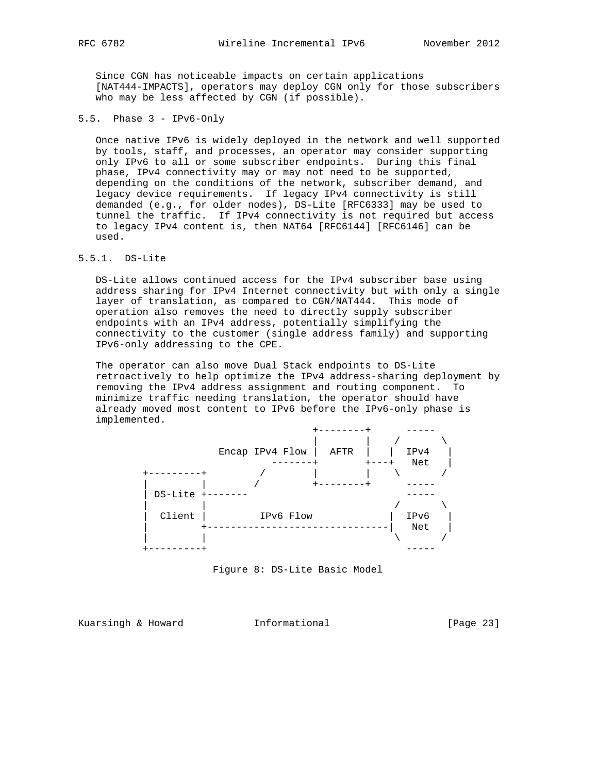Since CGN has noticeable impacts on certain applications [NAT444-IMPACTS], operators may deploy CGN only for those subscribers who may be less affected by CGN (if possible).

5.5. Phase 3 - IPv6-Only

 Once native IPv6 is widely deployed in the network and well supported by tools, staff, and processes, an operator may consider supporting only IPv6 to all or some subscriber endpoints. During this final phase, IPv4 connectivity may or may not need to be supported, depending on the conditions of the network, subscriber demand, and legacy device requirements. If legacy IPv4 connectivity is still demanded (e.g., for older nodes), DS-Lite [RFC6333] may be used to tunnel the traffic. If IPv4 connectivity is not required but access to legacy IPv4 content is, then NAT64 [RFC6144] [RFC6146] can be used.

# 5.5.1. DS-Lite

 DS-Lite allows continued access for the IPv4 subscriber base using address sharing for IPv4 Internet connectivity but with only a single layer of translation, as compared to CGN/NAT444. This mode of operation also removes the need to directly supply subscriber endpoints with an IPv4 address, potentially simplifying the connectivity to the customer (single address family) and supporting IPv6-only addressing to the CPE.

 The operator can also move Dual Stack endpoints to DS-Lite retroactively to help optimize the IPv4 address-sharing deployment by removing the IPv4 address assignment and routing component. To minimize traffic needing translation, the operator should have already moved most content to IPv6 before the IPv6-only phase is implemented.

|            |                 | ----    |                            |  |
|------------|-----------------|---------|----------------------------|--|
|            | Encap IPv4 Flow | AFTR    | IPv4<br>Net<br>$+ - - - +$ |  |
| $   -$     |                 |         |                            |  |
| DS-Lite +- |                 | ------- |                            |  |
| Client     | IPv6 Flow       |         | IPv6<br>Net                |  |
|            |                 |         |                            |  |

Figure 8: DS-Lite Basic Model

Kuarsingh & Howard **Informational** [Page 23]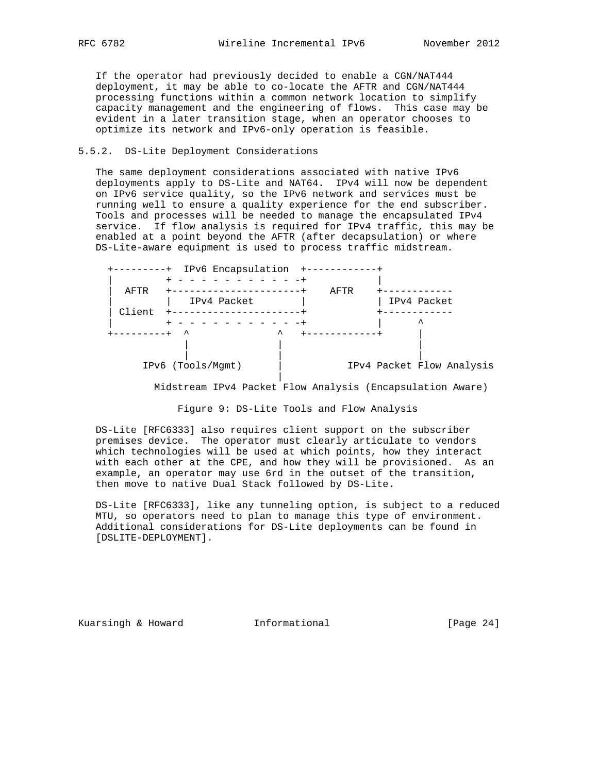If the operator had previously decided to enable a CGN/NAT444 deployment, it may be able to co-locate the AFTR and CGN/NAT444 processing functions within a common network location to simplify capacity management and the engineering of flows. This case may be evident in a later transition stage, when an operator chooses to optimize its network and IPv6-only operation is feasible.

# 5.5.2. DS-Lite Deployment Considerations

 The same deployment considerations associated with native IPv6 deployments apply to DS-Lite and NAT64. IPv4 will now be dependent on IPv6 service quality, so the IPv6 network and services must be running well to ensure a quality experience for the end subscriber. Tools and processes will be needed to manage the encapsulated IPv4 service. If flow analysis is required for IPv4 traffic, this may be enabled at a point beyond the AFTR (after decapsulation) or where DS-Lite-aware equipment is used to process traffic midstream.

| - +    | IPv6 Encapsulation |      |                           |
|--------|--------------------|------|---------------------------|
| AFTR   |                    | AFTR |                           |
|        | IPv4 Packet        |      | IPv4 Packet               |
| Client |                    |      | ᄉ                         |
|        | ᄉ<br>ㅅ             |      |                           |
|        |                    |      |                           |
|        | IPv6 (Tools/Mgmt)  |      | IPv4 Packet Flow Analysis |
|        |                    |      |                           |

Midstream IPv4 Packet Flow Analysis (Encapsulation Aware)

Figure 9: DS-Lite Tools and Flow Analysis

 DS-Lite [RFC6333] also requires client support on the subscriber premises device. The operator must clearly articulate to vendors which technologies will be used at which points, how they interact with each other at the CPE, and how they will be provisioned. As an example, an operator may use 6rd in the outset of the transition, then move to native Dual Stack followed by DS-Lite.

 DS-Lite [RFC6333], like any tunneling option, is subject to a reduced MTU, so operators need to plan to manage this type of environment. Additional considerations for DS-Lite deployments can be found in [DSLITE-DEPLOYMENT].

Kuarsingh & Howard **Informational** [Page 24]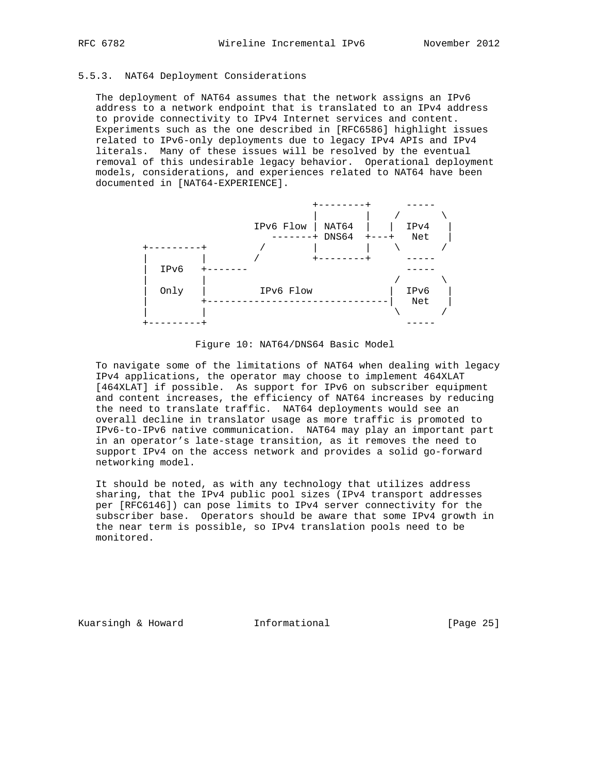# 5.5.3. NAT64 Deployment Considerations

 The deployment of NAT64 assumes that the network assigns an IPv6 address to a network endpoint that is translated to an IPv4 address to provide connectivity to IPv4 Internet services and content. Experiments such as the one described in [RFC6586] highlight issues related to IPv6-only deployments due to legacy IPv4 APIs and IPv4 literals. Many of these issues will be resolved by the eventual removal of this undesirable legacy behavior. Operational deployment models, considerations, and experiences related to NAT64 have been documented in [NAT64-EXPERIENCE].



Figure 10: NAT64/DNS64 Basic Model

 To navigate some of the limitations of NAT64 when dealing with legacy IPv4 applications, the operator may choose to implement 464XLAT [464XLAT] if possible. As support for IPv6 on subscriber equipment and content increases, the efficiency of NAT64 increases by reducing the need to translate traffic. NAT64 deployments would see an overall decline in translator usage as more traffic is promoted to IPv6-to-IPv6 native communication. NAT64 may play an important part in an operator's late-stage transition, as it removes the need to support IPv4 on the access network and provides a solid go-forward networking model.

 It should be noted, as with any technology that utilizes address sharing, that the IPv4 public pool sizes (IPv4 transport addresses per [RFC6146]) can pose limits to IPv4 server connectivity for the subscriber base. Operators should be aware that some IPv4 growth in the near term is possible, so IPv4 translation pools need to be monitored.

Kuarsingh & Howard **Informational** [Page 25]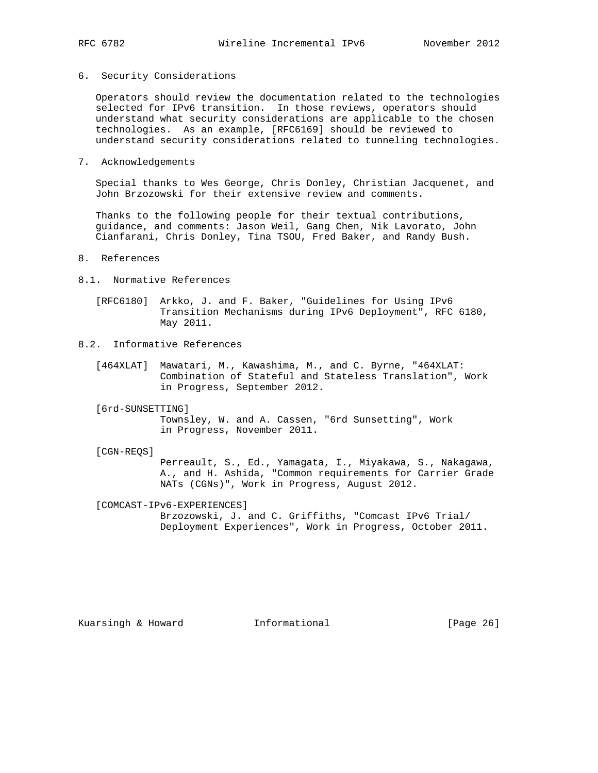6. Security Considerations

 Operators should review the documentation related to the technologies selected for IPv6 transition. In those reviews, operators should understand what security considerations are applicable to the chosen technologies. As an example, [RFC6169] should be reviewed to understand security considerations related to tunneling technologies.

7. Acknowledgements

 Special thanks to Wes George, Chris Donley, Christian Jacquenet, and John Brzozowski for their extensive review and comments.

 Thanks to the following people for their textual contributions, guidance, and comments: Jason Weil, Gang Chen, Nik Lavorato, John Cianfarani, Chris Donley, Tina TSOU, Fred Baker, and Randy Bush.

- 8. References
- 8.1. Normative References
	- [RFC6180] Arkko, J. and F. Baker, "Guidelines for Using IPv6 Transition Mechanisms during IPv6 Deployment", RFC 6180, May 2011.
- 8.2. Informative References
	- [464XLAT] Mawatari, M., Kawashima, M., and C. Byrne, "464XLAT: Combination of Stateful and Stateless Translation", Work in Progress, September 2012.
	- [6rd-SUNSETTING]

 Townsley, W. and A. Cassen, "6rd Sunsetting", Work in Progress, November 2011.

[CGN-REQS]

 Perreault, S., Ed., Yamagata, I., Miyakawa, S., Nakagawa, A., and H. Ashida, "Common requirements for Carrier Grade NATs (CGNs)", Work in Progress, August 2012.

[COMCAST-IPv6-EXPERIENCES]

 Brzozowski, J. and C. Griffiths, "Comcast IPv6 Trial/ Deployment Experiences", Work in Progress, October 2011.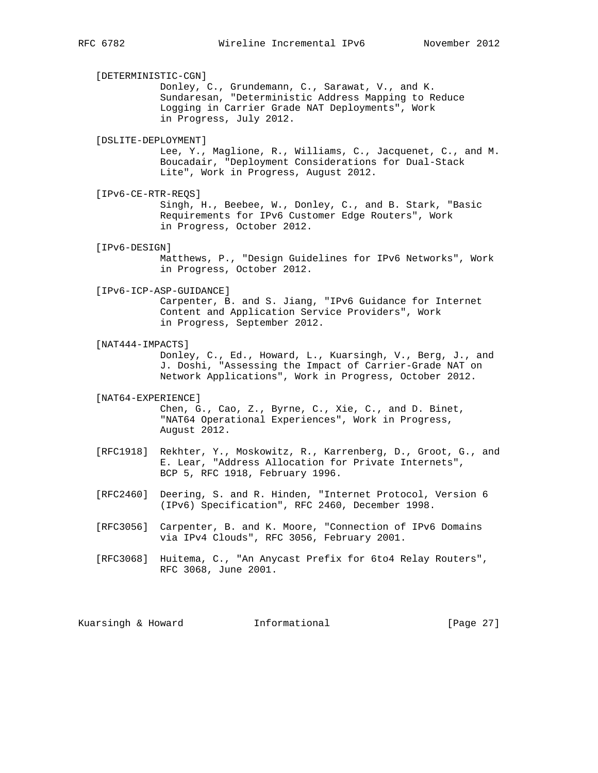[DETERMINISTIC-CGN] Donley, C., Grundemann, C., Sarawat, V., and K. Sundaresan, "Deterministic Address Mapping to Reduce Logging in Carrier Grade NAT Deployments", Work in Progress, July 2012. [DSLITE-DEPLOYMENT] Lee, Y., Maglione, R., Williams, C., Jacquenet, C., and M. Boucadair, "Deployment Considerations for Dual-Stack Lite", Work in Progress, August 2012. [IPv6-CE-RTR-REQS] Singh, H., Beebee, W., Donley, C., and B. Stark, "Basic Requirements for IPv6 Customer Edge Routers", Work in Progress, October 2012. [IPv6-DESIGN] Matthews, P., "Design Guidelines for IPv6 Networks", Work in Progress, October 2012. [IPv6-ICP-ASP-GUIDANCE] Carpenter, B. and S. Jiang, "IPv6 Guidance for Internet Content and Application Service Providers", Work in Progress, September 2012. [NAT444-IMPACTS] Donley, C., Ed., Howard, L., Kuarsingh, V., Berg, J., and J. Doshi, "Assessing the Impact of Carrier-Grade NAT on Network Applications", Work in Progress, October 2012. [NAT64-EXPERIENCE] Chen, G., Cao, Z., Byrne, C., Xie, C., and D. Binet, "NAT64 Operational Experiences", Work in Progress, August 2012. [RFC1918] Rekhter, Y., Moskowitz, R., Karrenberg, D., Groot, G., and E. Lear, "Address Allocation for Private Internets", BCP 5, RFC 1918, February 1996. [RFC2460] Deering, S. and R. Hinden, "Internet Protocol, Version 6 (IPv6) Specification", RFC 2460, December 1998. [RFC3056] Carpenter, B. and K. Moore, "Connection of IPv6 Domains via IPv4 Clouds", RFC 3056, February 2001. [RFC3068] Huitema, C., "An Anycast Prefix for 6to4 Relay Routers", RFC 3068, June 2001. Kuarsingh & Howard **Informational** [Page 27]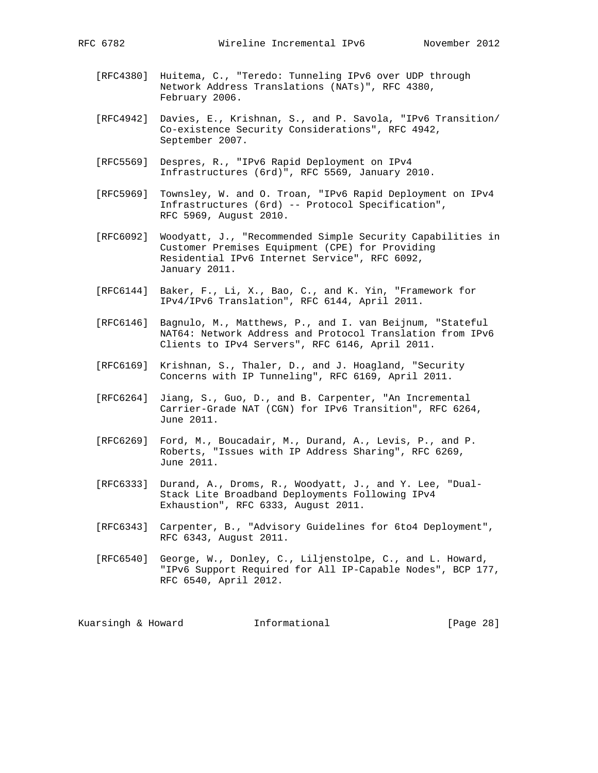- [RFC4380] Huitema, C., "Teredo: Tunneling IPv6 over UDP through Network Address Translations (NATs)", RFC 4380, February 2006.
- [RFC4942] Davies, E., Krishnan, S., and P. Savola, "IPv6 Transition/ Co-existence Security Considerations", RFC 4942, September 2007.
- [RFC5569] Despres, R., "IPv6 Rapid Deployment on IPv4 Infrastructures (6rd)", RFC 5569, January 2010.
- [RFC5969] Townsley, W. and O. Troan, "IPv6 Rapid Deployment on IPv4 Infrastructures (6rd) -- Protocol Specification", RFC 5969, August 2010.
- [RFC6092] Woodyatt, J., "Recommended Simple Security Capabilities in Customer Premises Equipment (CPE) for Providing Residential IPv6 Internet Service", RFC 6092, January 2011.
- [RFC6144] Baker, F., Li, X., Bao, C., and K. Yin, "Framework for IPv4/IPv6 Translation", RFC 6144, April 2011.
- [RFC6146] Bagnulo, M., Matthews, P., and I. van Beijnum, "Stateful NAT64: Network Address and Protocol Translation from IPv6 Clients to IPv4 Servers", RFC 6146, April 2011.
- [RFC6169] Krishnan, S., Thaler, D., and J. Hoagland, "Security Concerns with IP Tunneling", RFC 6169, April 2011.
- [RFC6264] Jiang, S., Guo, D., and B. Carpenter, "An Incremental Carrier-Grade NAT (CGN) for IPv6 Transition", RFC 6264, June 2011.
- [RFC6269] Ford, M., Boucadair, M., Durand, A., Levis, P., and P. Roberts, "Issues with IP Address Sharing", RFC 6269, June 2011.
- [RFC6333] Durand, A., Droms, R., Woodyatt, J., and Y. Lee, "Dual- Stack Lite Broadband Deployments Following IPv4 Exhaustion", RFC 6333, August 2011.
- [RFC6343] Carpenter, B., "Advisory Guidelines for 6to4 Deployment", RFC 6343, August 2011.
- [RFC6540] George, W., Donley, C., Liljenstolpe, C., and L. Howard, "IPv6 Support Required for All IP-Capable Nodes", BCP 177, RFC 6540, April 2012.

Kuarsingh & Howard **Informational** [Page 28]